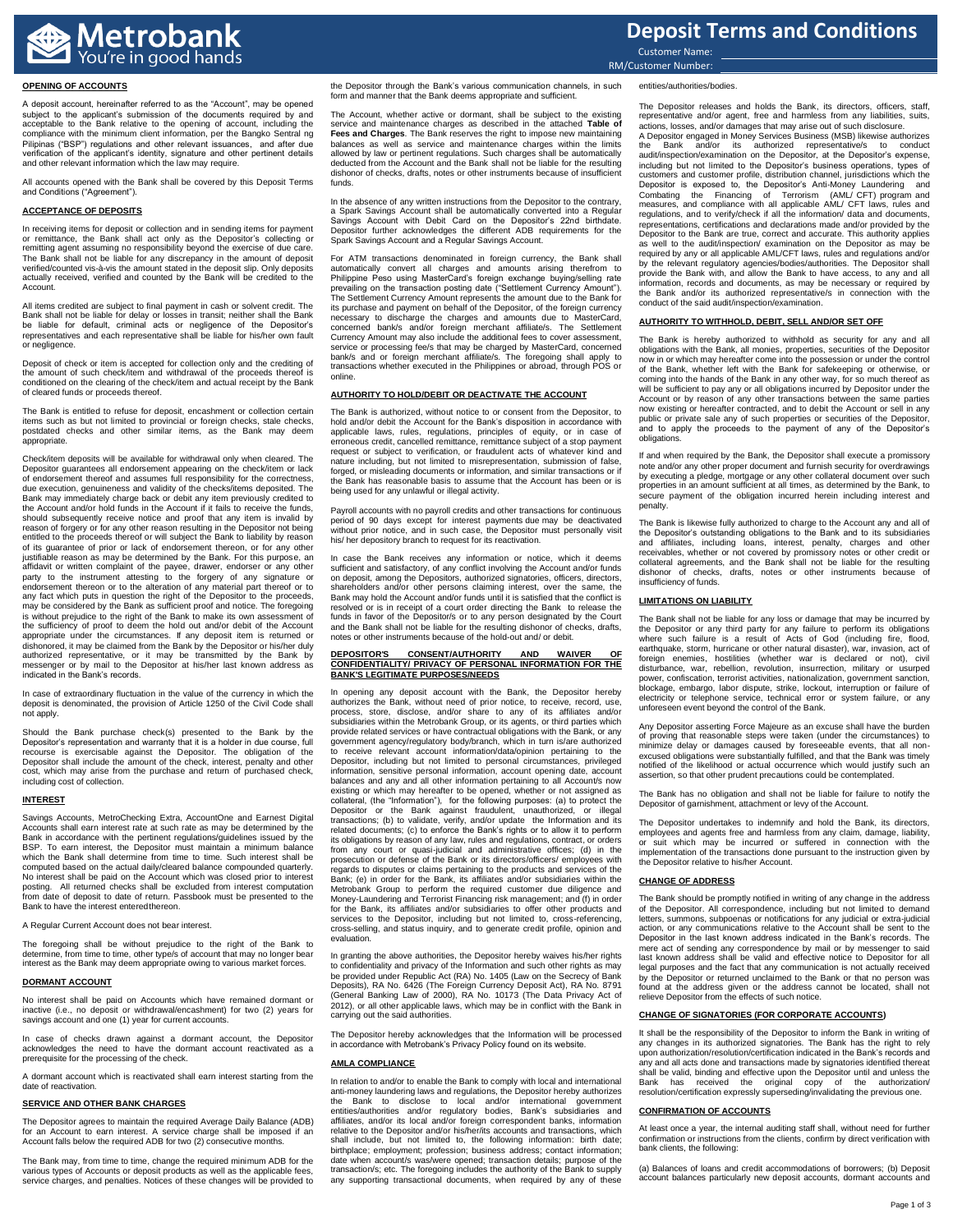# Metrobank

#### **OPENING OF ACCOUNTS**

A deposit account, hereinafter referred to as the "Account", may be opened subject to the applicant's submission of the documents required by and acceptable to the Bank relative to the opening of account, including the compliance with the minimum client information, per the Bangko Sentral ng Pilipinas ("BSP") regulations and other relevant issuances, and after due verification of the applicant's identity, signature and other pertinent details and other relevant information which the law may require.

All accounts opened with the Bank shall be covered by this Deposit Terms and Conditions ("Agreement").

#### **ACCEPTANCE OF DEPOSITS**

In receiving items for deposit or collection and in sending items for payment<br>or remittance, the Bank shall act only as the Depositor's collecting or<br>remitting agent assuming no responsibility beyond the exercise of due ca The Bank shall not be liable for any discrepancy in the amount of deposit verified/counted vis-à-vis the amount stated in the deposit slip. Only deposits actually received, verified and counted by the Bank will be credited to the Account.

All items credited are subject to final payment in cash or solvent credit. The<br>Bank shall not be liable for delay or losses in transit; neither shall the Bank<br>be liable for default, criminal acts or negligence of the Depos representatives and each representative shall be liable for his/her own fault or negligence.

Deposit of check or item is accepted for collection only and the crediting of the amount of such check/item and withdrawal of the proceeds thereof is conditioned on the clearing of the check/item and actual receipt by the Bank of cleared funds or proceeds thereof.

The Bank is entitled to refuse for deposit, encashment or collection certain items such as but not limited to provincial or foreign checks, stale checks, postdated checks and other similar items, as the Bank may deem appropriate.

Check/item deposits will be available for withdrawal only when cleared. The Depositor guarantees all endorsement appearing on the check/item or lack of endorsement thereof and assumes full responsibility for the correctness,<br>due execution, genuineness and validity of the checks/items deposited. The<br>Bank may immediately charge back or debit any item previously credited the Account and/or hold funds in the Account if it fails to receive the funds, should subsequently receive notice and proof that any item is invalid subsequently receive notice and proof that any item is invalid reason of forgery or for any other reason resulting in the Depositor not being entitled to the proceeds thereof or will subject the Bank to liability by reason of its guarantee of prior or lack of endorsement thereon, or for any other justifiable reason as may be determined by the Bank. For this purpose, an affidavit or written complaint of the payee, drawer, endorser or any other party to the instrument attesting to the forgery of any signature or<br>endorsement thereon or to the alteration of any material part thereof or to<br>any fact which puts in question the right of the Depositor to the proceeds,<br>m is without prejudice to the right of the Bank to make its own assessment of the sufficiency of proof to deem the hold out and/or debit of the Account appropriate under the circumstances. If any deposit item is returned or dishonored, it may be claimed from the Bank by the Depositor or his/her duly authorized representative, or it may be transmitted by the Bank by messenger or by mail to the Depositor at his/her last known address as indicated in the Bank's records.

In case of extraordinary fluctuation in the value of the currency in which the deposit is denominated, the provision of Article 1250 of the Civil Code shall not apply.

Should the Bank purchase check(s) presented to the Bank by the<br>Depositor's representation and warranty that it is a holder in due course, full<br>recourse is exercisable against the Depositor. The obligation of the Depositor shall include the amount of the check, interest, penalty and other cost, which may arise from the purchase and return of purchased check, including cost of collection.

#### **INTEREST**

Savings Accounts, MetroChecking Extra, AccountOne and Earnest Digital Accounts shall earn interest rate at such rate as may be determined by the Bank in accordance with the pertinent regulations/guidelines issued by the BSP. To earn interest, the Depositor must maintain a minimum balance which the Bank shall determine from time to time. Such interest shall be computed based on the actual daily/cleared balance compounded quarterly. No interest shall be paid on the Account which was closed prior to interest posting. All returned checks shall be excluded from interest computation from date of deposit to date of return. Passbook must be presented to the Bank to have the interest enteredthereon.

A Regular Current Account does not bear interest.

The foregoing shall be without prejudice to the right of the Bank to rmine, from time to time, other type/s of account that may no longer bear interest as the Bank may deem appropriate owing to various market forces.

#### **DORMANT ACCOUNT**

No interest shall be paid on Accounts which have remained dormant or inactive (i.e., no deposit or withdrawal/encashment) for two (2) years for savings account and one (1) year for current accounts

In case of checks drawn against a dormant account, the Depositor acknowledges the need to have the dormant account reactivated as a prerequisite for the processing of the check.

A dormant account which is reactivated shall earn interest starting from the date of reactivation.

#### **SERVICE AND OTHER BANK CHARGES**

The Depositor agrees to maintain the required Average Daily Balance (ADB) for an Account to earn interest. A service charge shall be imposed if an Account falls below the required ADB for two (2) consecutive months.

The Bank may, from time to time, change the required minimum ADB for the various types of Accounts or deposit products as well as the applicable fees, service charges, and penalties. Notices of these changes will be provided to the Depositor through the Bank's various communication channels, in such m and manner that the Bank deems appropriate and sufficient.

The Account, whether active or dormant, shall be subject to the existing service and maintenance charges as described in the attached **Table of Fees and Charges**. The Bank reserves the right to impose new maintaining balances as well as service and maintenance charges within the limits allowed by law or pertinent regulations. Such charges shall be automatically deducted from the Account and the Bank shall not be liable for the resulting dishonor of checks, drafts, notes or other instruments because of insufficient funds.

In the absence of any written instructions from the Depositor to the contrary, a Spark Savings Account shall be automatically converted into a Regular Savings Account with Debit Card on the Depositor's 22nd birthdate. Depositor further acknowledges the different ADB requirements for the Spark Savings Account and a Regular Savings Account.

For ATM transactions denominated in foreign currency, the Bank shall automatically convert all charges and amounts arising therefrom to Philippine Peso using MasterCard's foreign exchange buying/selling rate prevailing on the transaction posting date ("Settlement Currency Amount"). The Settlement Currency Amount represents the amount due to the Bank for its purchase and payment on behalf of the Depositor, of the foreign currency necessary to discharge the charges and amounts due to MasterCard, concerned bank/s and/or foreign merchant affiliate/s. The Settlement Currency Amount may also include the additional fees to cover assessment, service or processing fee/s that may be charged by MasterCard, concerned bank/s and or foreign merchant affiliate/s. The foregoing shall apply to transactions whether executed in the Philippines or abroad, through POS or online.

#### **AUTHORITY TO HOLD/DEBIT OR DEACTIVATE THE ACCOUNT**

The Bank is authorized, without notice to or consent from the Depositor, to hold and/or debit the Account for the Bank's disposition in accordance with applicable laws, rules, regulations, principles of equity, or in case of erroneous credit, cancelled remittance, remittance subject of a stop payment request or subject to verification, or fraudulent acts of whatever kind and request or subject to verification, or fraudulent acts of whatever kin nature including, but not limited to misrepresentation, submission of false, forged, or misleading documents or information, and similar transactions or if the Bank has reasonable basis to assume that the Account has been or is being used for any unlawful or illegal activity.

Payroll accounts with no payroll credits and other transactions for continuous period of 90 days except for interest payments due may be deactivated without prior notice, and in such case, the Depositor must personally visit his/ her depository branch to request for its reactivation.

In case the Bank receives any information or notice, which it deems sufficient and satisfactory, of any conflict involving the Account and/or funds on deposit, among the Depositors, authorized signatories, officers, directors, shareholders and/or other persons claiming interest, over the same, the Bank may hold the Account and/or funds until it is satisfied that the conflict is resolved or is in receipt of a court order directing the Bank to release the funds in favor of the Depositor/s or to any person designated by the Court and the Bank shall not be liable for the resulting dishonor of checks, drafts, notes or other instruments because of the hold-out and/ or debit.

# **DEPOSITOR'S CONSENT/AUTHORITY AND WAIVER OF CONFIDENTIALITY/ PRIVACY OF PERSONAL INFORMATION FOR THE BANK'S LEGITIMATE PURPOSES/NEEDS**

In opening any deposit account with the Bank, the Depositor hereby authorizes the Bank, without need of prior notice, to receive, record, use, process, store, disclose, and/or share to any of its affiliates and/or subsidiaries within the Metrobank Group, or its agents, or third parties which provide related services or have contractual obligations with the Bank, or any government agency/regulatory body/branch, which in turn is/are authorized to receive relevant account information/data/opinion pertaining to the Depositor, including but not limited to personal circumstances, privileged information, sensitive personal information, account opening date, account balances and any and all other information pertaining to all Account/s now existing or which may hereafter to be opened, whether or not assigned as<br>collateral, (the "Information"), for the following purposes: (a) to protect the<br>Depositor or the Bank against fraudulent, unauthorized, transactions; (b) to validate, verify, and/or update the Information and its related documents; (c) to enforce the Bank's rights or to allow it to perform its obligations by reason of any law, rules and regulations, contract, or orders from any court or quasi-judicial and administrative offices; (d) in the prosecution or defense of the Bank or its directors/officers/ employees with regards to disputes or claims pertaining to the products and services of the Bank; (e) in order for the Bank, its affiliates and/or subsidiaries within the Metrobank Group to perform the required customer due diligence and Money-Laundering and Terrorist Financing risk management; and (f) in order for the Bank, its affiliates and/or subsidiaries to offer other products and services to the Depositor, including but not limited to, cross-referencing, cross-selling, and status inquiry, and to generate credit profile, opinion and evaluation.

In granting the above authorities, the Depositor hereby waives his/her rights to confidentiality and privacy of the Information and such other rights as may be provided under Republic Act (RA) No. 1405 (Law on the Secrecy of Bank Deposits), RA No. 6426 (The Foreign Currency Deposit Act), RA No. 8791 (General Banking Law of 2000), RA No. 10173 (The Data Privacy Act of 2012), or all other applicable laws, which may be in conflict with the Bank in carrying out the said authorities.

The Depositor hereby acknowledges that the Information will be processed in accordance with Metrobank's Privacy Policy found on its website.

#### **AMLA COMPLIANCE**

In relation to and/or to enable the Bank to comply with local and international anti-money laundering laws and regulations, the Depositor hereby authorizes<br>the Bank to disclose to local and/or international government<br>entities/authorities and/or regulatory bodies, Bank's subsidiaries and<br>affiliates, a relative to the Depositor and/or his/her/its accounts and transactions, which shall include, but not limited to, the following information: birth date; birthplace; employment; profession; business address; contact information; date when account/s was/were opened; transaction details; purpose of the transaction/s; etc. The foregoing includes the authority of the Bank to supply any supporting transactional documents, when required by any of these

# **Deposit Terms and Conditions**

RM/Customer Number:

#### entities/authorities/bodies.

Customer Name:

The Depositor releases and holds the Bank, its directors, officers, staff, representative and/or agent, free and harmless from any liabilities, suits, actions, losses, and/or damages that may arise out of such disclosure. A Depositor engaged in Money Services Business (MSB) likewise authorizes

the Bank and/or its authorized representative/s to conduct audit/inspection/examination on the Depositor, at the Depositor's expense, including but not limited to the Depositor's business operations, types of customers and customer profile, distribution channel, jurisdictions which the Depositor is exposed to, the Depositor's Anti-Money Laundering and Combating the Financing of Terrorism (AML/ CFT) program and<br>measures, and compliance with all applicable AML/ CFT laws, rules and<br>regulations, and to verify/check if all the information/ data and documents, representations, certifications and declarations made and/or provided by the Depositor to the Bank are true, correct and accurate. This authority applies as well to the audit/inspection/ examination on the Depositor as may be required by any or all applicable AML/CFT laws, rules and regulations and/or by the relevant regulatory agencies/bodies/authorities. The Depositor shall provide the Bank with, and allow the Bank to have access, to any and all information, records and documents, as may be necessary or required by the Bank and/or its authorized representative/s in connection with the conduct of the said audit/inspection/examination.

#### **AUTHORITY TO WITHHOLD, DEBIT, SELL AND/OR SET OFF**

The Bank is hereby authorized to withhold as security for any and all obligations with the Bank, all monies, properties, securities of the Depositor now in or which may hereafter come into the possession or under the control<br>of the Bank, whether left with the Bank for safekeeping or otherwise, or<br>coming into the hands of the Bank in any other way, for so much thereof a will be sufficient to pay any or all obligations incurred by Depositor under the Account or by reason of any other transactions between the same parties now existing or hereafter contracted, and to debit the Account or sell in any public or private sale any of such properties or securities of the Deposito and to apply the proceeds to the payment of any of the Depositor's obligations.

If and when required by the Bank, the Depositor shall execute a promissory note and/or any other proper document and furnish security for overdrawings by executing a pledge, mortgage or any other collateral document over such properties in an amount sufficient at all times, as determined by the Bank, to secure payment of the obligation incurred herein including interest and penalty.

The Bank is likewise fully authorized to charge to the Account any and all of the Depositor's outstanding obligations to the Bank and to its subsidiaries and affiliates, including loans, interest, penalty, charges and other receivables, whether or not covered by promissory notes or other credit or<br>collateral agreements, and the Bank shall not be liable for the resulting<br>dishonor of checks, drafts, notes or other instruments because of insufficiency of funds.

#### **LIMITATIONS ON LIABILITY**

The Bank shall not be liable for any loss or damage that may be incurred by<br>the Depositor or any third party for any failure to perform its obligations<br>where such failure is a result of Acts of God (including fire, flood, earthquake, storm, hurricane or other natural disaster), war, invasion, act of foreign enemies, hostilities (whether war is declared or not), civil disturbance, war, rebellion, revolution, insurrection, military or usurped power, confiscation, terrorist activities, nationalization, government sanction, blockage, embargo, labor dispute, strike, lockout, interruption or failure of electricity or telephone service, technical error or system failure, or any unforeseen event beyond the control of the Bank.

Any Depositor asserting Force Majeure as an excuse shall have the burden of proving that reasonable steps were taken (under the circumstances) to delay or damages caused by foreseeable events, that all nonexcused obligations were substantially fulfilled, and that the Bank was timely notified of the likelihood or actual occurrence which would justify such an assertion, so that other prudent precautions could be contemplated.

The Bank has no obligation and shall not be liable for failure to notify the Depositor of garnishment, attachment or levy of the Account.

The Depositor undertakes to indemnify and hold the Bank, its directors, employees and agents free and harmless from any claim, damage, liability,<br>or suit which may be incurred or suffered in connection with the<br>implementation of the transactions done pursuant to the instruction give the Depositor relative to his/her Account.

#### **CHANGE OF ADDRESS**

The Bank should be promptly notified in writing of any change in the address of the Depositor. All correspondence, including but not limited to demand<br>letters, summons, subpoenas or notifications for any judicial or extra-judicial<br>action, or any communications relative to the Account shall be sent Depositor in the last known address indicated in the Bank's records. The mere act of sending any correspondence by mail or by messenger to said last known address shall be valid and effective notice to Depositor for all legal purposes and the fact that any communication is not actually received by the Depositor or returned unclaimed to the Bank or that no person was found at the address given or the address cannot be located, shall not relieve Depositor from the effects of such notice.

#### **CHANGE OF SIGNATORIES (FOR CORPORATE ACCOUNTS)**

It shall be the responsibility of the Depositor to inform the Bank in writing of any changes in its authorized signatories. The Bank has the right to rely upon authorization/resolution/certification indicated in the Bank's records and any and all acts done and transactions made by signatories identified thereat<br>shall be valid, binding and effective upon the Depositor until and unless the<br>Bank has received the original copy of the

#### **CONFIRMATION OF ACCOUNTS**

At least once a year, the internal auditing staff shall, without need for further confirmation or instructions from the clients, confirm by direct verification with bank clients, the following

(a) Balances of loans and credit accommodations of borrowers; (b) Deposit count balances particularly new deposit accounts, dormant accounts and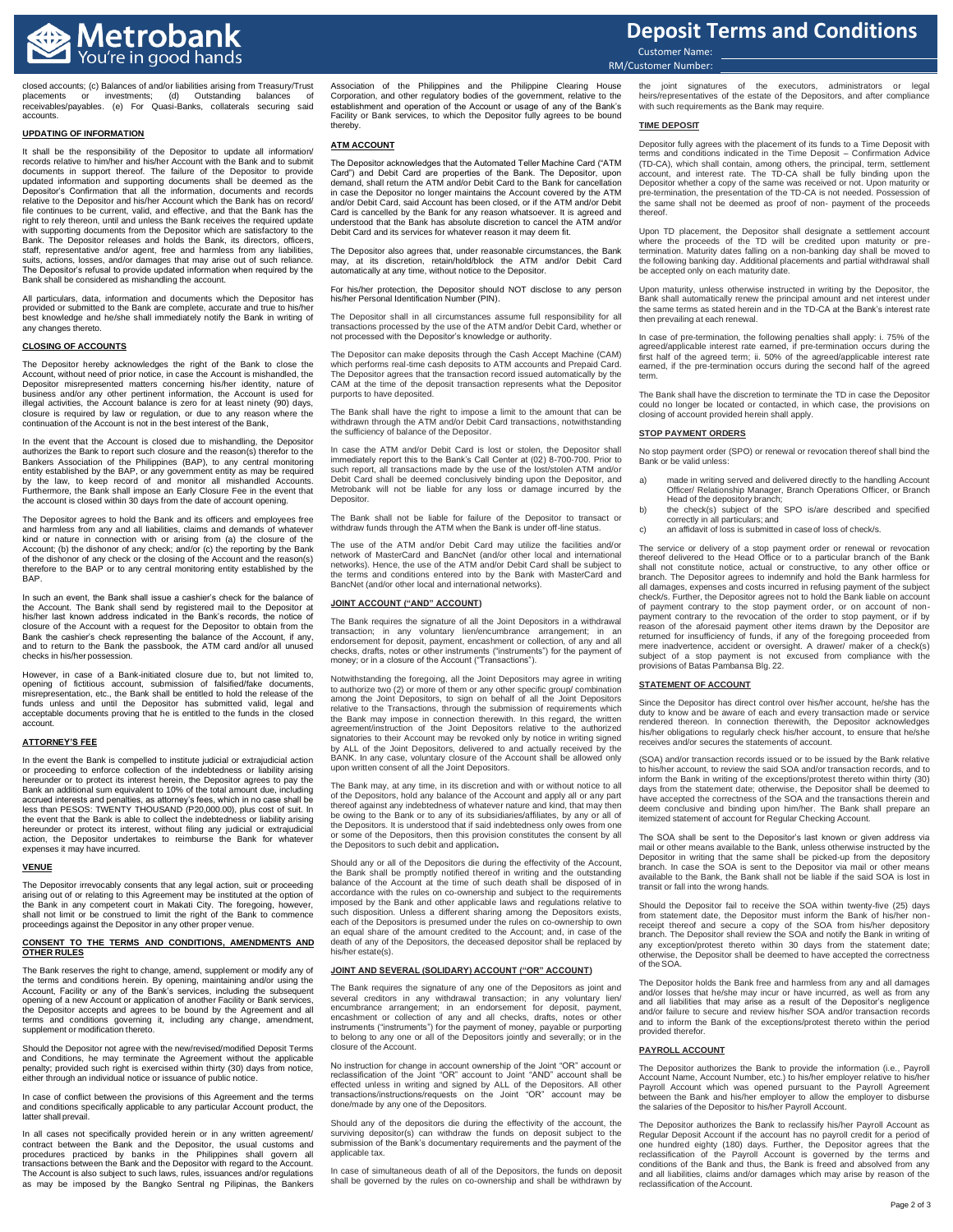

closed accounts; (c) Balances of and/or liabilities arising from Treasury/Trust placements or investments; (d) Outstanding balances of receivables/payables. (e) For Quasi-Banks, collaterals securing said accounts.

#### **UPDATING OF INFORMATION**

It shall be the responsibility of the Depositor to update all information/ records relative to him/her and his/her Account with the Bank and to submit documents in support thereof. The failure of the Depositor to provide updated information and supporting documents shall be deemed as the Depositor's Confirmation that all the information, documents and records relative to the Depositor and his/her Account which the Bank has on record/ file continues to be current, valid, and effective, and that the Bank has the right to rely thereon, until and unless the Bank receives the required update with supporting documents from the Depositor which are satisfactory to the Bank. The Depositor releases and holds the Bank, its directors, officers,<br>staff, representative and/or agent, free and harmless from any liabilities,<br>suits, actions, losses, and/or damages that may arise out of such relian The Depositor's refusal to provide updated information when required by the Bank shall be considered as mishandling the account.

All particulars, data, information and documents which the Depositor has provided or submitted to the Bank are complete, accurate and true to his/her best knowledge and he/she shall immediately notify the Bank in writing of any changes thereto.

#### **CLOSING OF ACCOUNTS**

The Depositor hereby acknowledges the right of the Bank to close the Account, without need of prior notice, in case the Account is mishandled, the Depositor misrepresented matters concerning his/her identity, nature of<br>business and/or any other pertinent information, the Account is used for<br>illegal activities, the Account balance is zero for at least ninety (90) days closure is required by law or regulation, or due to any reason where the continuation of the Account is not in the best interest of the Bank,

In the event that the Account is closed due to mishandling, the Depositor authorizes the Bank to report such closure and the reason(s) therefor to the Bankers Association of the Philippines (BAP), to any central monitoring entity established by the BAP, or any government entity as may be required by the law, to keep record of and monitor all mishandled Accounts. Furthermore, the Bank shall impose an Early Closure Fee in the event that the account is closed within 30 days from the date of account opening.

The Depositor agrees to hold the Bank and its officers and employees free and harmless from any and all liabilities, claims and demands of whatever kind or nature in connection with or arising from (a) the closure of the Account; (b) the dishonor of any check; and/or (c) the reporting by the Bank of the dishonor of any check or the closing of the Account and the reason(s) therefore to the BAP or to any central monitoring entity established by the **BAP** 

In such an event, the Bank shall issue a cashier's check for the balance of the Account. The Bank shall send by registered mail to the Depositor at his/her last known address indicated in the Bank's records, the notice of closure of the Account with a request for the Depositor to obtain from the Bank the cashier's check representing the balance of the Account, if any, and to return to the Bank the passbook, the ATM card and/or all unused checks in his/her possession.

However, in case of a Bank-initiated closure due to, but not limited to, opening of fictitious account, submission of falsified/fake documents, misrepresentation, etc., the Bank shall be entitled to hold the release of the funds unless and until the Depositor has submitted valid, legal and acceptable documents proving that he is entitled to the funds in the closed account.

#### **ATTORNEY'S FEE**

In the event the Bank is compelled to institute judicial or extrajudicial action or proceeding to enforce collection of the indebtedness or liability arising hereunder or to protect its interest herein, the Depositor agrees to pay the Bank an additional sum equivalent to 10% of the total amount due, including<br>accrued interests and penalties, as attorney's fees, which in no case shall be<br>less than PESOS: TWENTY THOUSAND (P20,000.00), plus cost of suit. I the event that the Bank is able to collect the indebtedness or liability arising hereunder or protect its interest, without filing any judicial or extrajudicial action, the Depositor undertakes to reimburse the Bank for whatever expenses it may have incurred.

#### **VENUE**

The Depositor irrevocably consents that any legal action, suit or proceeding<br>arising out of or relating to this Agreement may be instituted at the option of<br>the Bank in any competent court in Makati City. The foregoing, ho shall not limit or be construed to limit the right of the Bank to commence proceedings against the Depositor in any other proper venue.

### **CONSENT TO THE TERMS AND CONDITIONS, AMENDMENTS AND OTHER RULES**

The Bank reserves the right to change, amend, supplement or modify any of<br>the terms and conditions herein. By opening, maintaining and/or using the<br>Account, Facility or any of the Bank's services, including the subsequent opening of a new Account or application of another Facility or Bank services, the Depositor accepts and agrees to be bound by the Agreement and all terms and conditions governing it, including any change, amendment, supplement or modification thereto.

Should the Depositor not agree with the new/revised/modified Deposit Terms and Conditions, he may terminate the Agreement without the applicable penalty; provided such right is exercised within thirty (30) days from notice, either through an individual notice or issuance of public notice.

In case of conflict between the provisions of this Agreement and the terms and conditions specifically applicable to any particular Account product, the latter shall prevail.

In all cases not specifically provided herein or in any written agreement/ contract between the Bank and the Depositor, the usual customs and procedures practiced by banks in the Philippines shall govern all transactions between the Bank and the Depositor with regard to the Account. The Account is also subject to such laws, rules, issuances and/or regulations as may be imposed by the Bangko Sentral ng Pilipinas, the Bankers Association of the Philippines and the Philippine Clearing House Corporation, and other regulatory bodies of the government, relative to the establishment and operation of the Account or usage of any of the Bank's Facility or Bank services, to which the Depositor fully agrees to be bound thereby.

#### **ATM ACCOUNT**

The Depositor acknowledges that the Automated Teller Machine Card ("ATM Card") and Debit Card are properties of the Bank. The Depositor, upon demand, shall return the ATM and/or Debit Card to the Bank for cancellation in case the Depositor no longer maintains the Account covered by the ATM and/or Debit Card, said Account has been closed, or if the ATM and/or Debit Card is cancelled by the Bank for any reason whatsoever. It is agreed and understood that the Bank has absolute discretion to cancel the ATM and/or Debit Card and its services for whatever reason it may deem fit.

The Depositor also agrees that, under reasonable circumstances, the Bank may, at its discretion, retain/hold/block the ATM and/or Debit Card automatically at any time, without notice to the Depositor.

For his/her protection, the Depositor should NOT disclose to any person his/her Personal Identification Number (PIN).

The Depositor shall in all circumstances assume full responsibility for all transactions processed by the use of the ATM and/or Debit Card, whether or not processed with the Depositor's knowledge or authority.

The Depositor can make deposits through the Cash Accept Machine (CAM)<br>which performs real-time cash deposits to ATM accounts and Prepaid Card.<br>The Depositor agrees that the transaction record issued automatically by the CAM at the time of the deposit transaction represents what the Depositor purports to have deposited.

The Bank shall have the right to impose a limit to the amount that can be withdrawn through the ATM and/or Debit Card transactions, notwithstanding the sufficiency of balance of the Depositor.

In case the ATM and/or Debit Card is lost or stolen, the Depositor shall immediately report this to the Bank's Call Center at (02) 8-700-700. Prior to such report, all transactions made by the use of the lost/stolen ATM and/or Debit Card shall be deemed conclusively binding upon the Depositor, and Metrobank will not be liable for any loss or damage incurred by the **Depositor** 

The Bank shall not be liable for failure of the Depositor to transact or withdraw funds through the ATM when the Bank is under off-line status.

The use of the ATM and/or Debit Card may utilize the facilities and/or network of MasterCard and BancNet (and/or other local and international networks). Hence, the use of the ATM and/or Debit Card shall be subject to terms and conditions entered into by the Bank with MasterCard and BancNet (and/or other local and international networks).

#### **JOINT ACCOUNT ("AND" ACCOUNT)**

The Bank requires the signature of all the Joint Depositors in a withdrawal transaction; in any voluntary lien/encumbrance arrangement; in an<br>endorsement for deposit, payment, encashment or collection, of any and all<br>checks, drafts, notes or other instruments ("instruments") for the payment of money; or in a closure of the Account ("Transactions").

Notwithstanding the foregoing, all the Joint Depositors may agree in writing to authorize two (2) or more of them or any other specific group/ combination among the Joint Depositors, to sign on behalf of all the Joint Depositors relative to the Transactions, through the submission of requirements which the Bank may impose in connection therewith. In this regard, the written agreement/instruction of the Joint Depositors relative to the authorized signatories to their Account may be revoked only by notice in writing signed by ALL of the Joint Depositors, delivered to and actually received by the BANK. In any case, voluntary closure of the Account shall be allowed only upon written consent of all the Joint Depositors.

The Bank may, at any time, in its discretion and with or without notice to all of the Depositors, hold any balance of the Account and apply all or any part thereof against any indebtedness of whatever nature and kind, that may then be owing to the Bank or to any of its subsidiaries/affiliates, by any or all of the Depositors. It is understood that if said indebtedness only owes from one or some of the Depositors, then this provision constitutes the consent by all the Depositors to such debit and application**.**

Should any or all of the Depositors die during the effectivity of the Account, the Bank shall be promptly notified thereof in writing and the outstanding balance of the Account at the time of such death shall be disposed of in accordance with the rules on co-ownership and subject to the requirements imposed by the Bank and other applicable laws and regulations relative to such disposition. Unless a different sharing among the Depositors exists, each of the Depositors is presumed under the rules on co-ownership to own an equal share of the amount credited to the Account; and, in case of the death of any of the Depositors, the deceased depositor shall be replaced by his/her estate(s).

#### **JOINT AND SEVERAL (SOLIDARY) ACCOUNT ("OR" ACCOUNT)**

The Bank requires the signature of any one of the Depositors as joint and several creditors in any withdrawal transaction; in any voluntary lien/ encumbrance arrangement; in an endorsement for deposit, payment,<br>encashment or collection of any and all checks, drafts, notes or other<br>instruments ("instruments") for the payment of money, payable or purporting to belong to any one or all of the Depositors jointly and severally; or in the closure of the Account.

No instruction for change in account ownership of the Joint "OR" account or reclassification of the Joint "OR" account to Joint "AND" account shall be effected unless in writing and signed by ALL of the Depositors. All other transactions/instructions/requests on the Joint "OR" account may be done/made by any one of the Deposit

Should any of the depositors die during the effectivity of the account, the surviving depositor(s) can withdraw the funds on deposit subject to the submission of the Bank's documentary requirements and the payment of the applicable tax.

In case of simultaneous death of all of the Depositors, the funds on deposit shall be governed by the rules on co-ownership and shall be withdrawn by

## **Deposit Terms and Conditions**

Customer Name: RM/Customer Number:

> the joint signatures of the executors, administrators or legal heirs/representatives of the estate of the Depositors, and after compliance with such requirements as the Bank may require.

#### **TIME DEPOSIT**

Depositor fully agrees with the placement of its funds to a Time Deposit with terms and conditions indicated in the Time Deposit – Confirmation Advice (TD-CA), which shall contain, among others, the principal, term, settlement account, and interest rate. The TD-CA shall be fully binding upon the Depositor whether a copy of the same was received or not. Upon maturity or pre-termination, the presentation of the TD-CA is not needed. Possession of the same shall not be deemed as proof of non- payment of the proceeds thereof.

Upon TD placement, the Depositor shall designate a settlement account where the proceeds of the TD will be credited upon maturity or pre-<br>termination. Maturity dates falling on a non-banking day shall be moved to<br>the following banking day. Additional placements and partial withdrawal shall be accepted only on each maturity date.

Upon maturity, unless otherwise instructed in writing by the Depositor, the Bank shall automatically renew the principal amount and net interest under the same terms as stated herein and in the TD-CA at the Bank's interest rate then prevailing at each renewal.

In case of pre-termination, the following penalties shall apply: i. 75% of the agreed/applicable interest rate earned, if pre-termination occurs during the first half of the agreed term; ii. 50% of the agreed/applicable interest rate earned, if the pre-termination occurs during the second half of the agreed term.

The Bank shall have the discretion to terminate the TD in case the Depositor could no longer be located or contacted, in which case, the provisions on closing of account provided herein shall apply.

#### **STOP PAYMENT ORDERS**

No stop payment order (SPO) or renewal or revocation thereof shall bind the Bank or be valid unless:

- a) made in writing served and delivered directly to the handling Account Officer/ Relationship Manager, Branch Operations Officer, or Branch
- Head of the depository branch; b) the check(s) subject of the SPO is/are described and specified correctly in all particulars; and
- c) an affidavit of loss is submitted in case of loss of check/s.

The service or delivery of a stop payment order or renewal or revocation thereof delivered to the Head Office or to a particular branch of the Bank shall not constitute notice, actual or constructive, to any other office or branch. The Depositor agrees to indemnify and hold the Bank harmless for all damages, expenses and costs incurred in refusing payment of the subject check/s. Further, the Depositor agrees not to hold the Bank liable on account of payment contrary to the stop payment order, or on account of non-payment contrary to the revocation of the order to stop payment, or if by reason of the aforesaid payment other items drawn by the Depositor are returned for insufficiency of funds, if any of the foregoing proceeded from mere inadvertence, accident or oversight. A drawer/ maker of a check(s) subject of a stop payment is not excused from compliance with the provisions of Batas Pambansa Blg. 22.

#### **STATEMENT OF ACCOUNT**

Since the Depositor has direct control over his/her account, he/she has the duty to know and be aware of each and every transaction made or service rendered thereon. In connection therewith, the Depositor acknowledges his/her obligations to regularly check his/her account, to ensure that he/she receives and/or secures the statements of account.

(SOA) and/or transaction records issued or to be issued by the Bank relative to his/her account, to review the said SOA and/or transaction records, and to inform the Bank in writing of the exceptions/protest thereto within thirty (30) days from the statement date; otherwise, the Depositor shall be deemed to have accepted the correctness of the SOA and the transactions therein and deem conclusive and binding upon him/her. The Bank shall prepare an itemized statement of account for Regular Checking Account.

The SOA shall be sent to the Depositor's last known or given address via mail or other means available to the Bank, unless otherwise instructed by the Depositor in writing that the same shall be picked-up from the depository branch. In case the SOA is sent to the Depositor via mail or other means available to the Bank, the Bank shall not be liable if the said SOA is lost in transit or fall into the wrong hands.

Should the Depositor fail to receive the SOA within twenty-five (25) days from statement date, the Depositor must inform the Bank of his/her nonreceipt thereof and secure a copy of the SOA from his/her depository<br>branch. The Depositor shall review the SOA and notify the Bank in writing of<br>any exception/protest thereto within 30 days from the statement date; otherwise, the Depositor shall be deemed to have accepted the correctness of the SOA.

The Depositor holds the Bank free and harmless from any and all damages and/or losses that he/she may incur or have incurred, as well as from any and all liabilities that may arise as a result of the Depositor's negligence and/or failure to secure and review his/her SOA and/or transaction records and to inform the Bank of the exceptions/protest thereto within the period provided therefor.

#### **PAYROLL ACCOUNT**

The Depositor authorizes the Bank to provide the information (i.e., Payroll Account Name, Account Number, etc.) to his/her employer relative to his/her Payroll Account which was opened pursuant to the Payroll Agreement between the Bank and his/her employer to allow the employer to disburse the salaries of the Depositor to his/her Payroll Account.

The Depositor authorizes the Bank to reclassify his/her Payroll Account as Regular Deposit Account if the account has no payroll credit for a period of one hundred eighty (180) days. Further, the Depositor agrees that the reclassification of the Payroll Account is governed by the terms and conditions of the Bank and thus, the Bank is freed and absolved from any and all liabilities, claims and/or damages which may arise by reason of the reclassification of the Account.